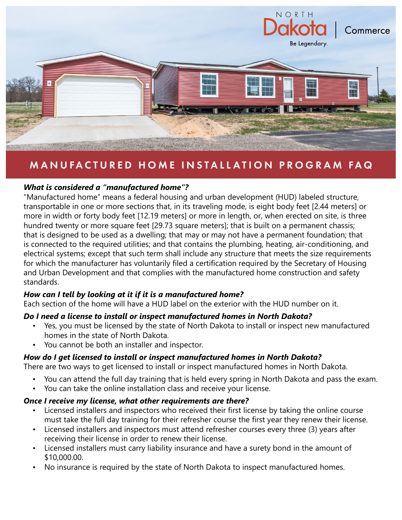

# MANUFACTURED HOME INSTALLATION PROGRAM FAQ

# *What is considered a "manufactured home"?*

"Manufactured home" means a federal housing and urban development (HUD) labeled structure, transportable in one or more sections that, in its traveling mode, is eight body feet [2.44 meters] or more in width or forty body feet [12.19 meters] or more in length, or, when erected on site, is three hundred twenty or more square feet [29.73 square meters]; that is built on a permanent chassis; that is designed to be used as a dwelling; that may or may not have a permanent foundation; that is connected to the required utilities; and that contains the plumbing, heating, air-conditioning, and electrical systems; except that such term shall include any structure that meets the size requirements for which the manufacturer has voluntarily filed a certification required by the Secretary of Housing and Urban Development and that complies with the manufactured home construction and safety standards.

#### *How can I tell by looking at it if it is a manufactured home?*

Each section of the home will have a HUD label on the exterior with the HUD number on it.

#### *Do I need a license to install or inspect manufactured homes in North Dakota?*

- Yes, you must be licensed by the state of North Dakota to install or inspect new manufactured homes in the state of North Dakota.
- You cannot be both an installer and inspector.

#### *How do I get licensed to install or inspect manufactured homes in North Dakota?*

There are two ways to get licensed to install or inspect manufactured homes in North Dakota.

- You can attend the full day training that is held every spring in North Dakota and pass the exam.
- You can take the online installation class and receive your license.

#### *Once I receive my license, what other requirements are there?*

- Licensed installers and inspectors who received their first license by taking the online course must take the full day training for their refresher course the first year they renew their license.
- Licensed installers and inspectors must attend refresher courses every three (3) years after receiving their license in order to renew their license.
- Licensed installers must carry liability insurance and have a surety bond in the amount of \$10,000.00.
- No insurance is required by the state of North Dakota to inspect manufactured homes.